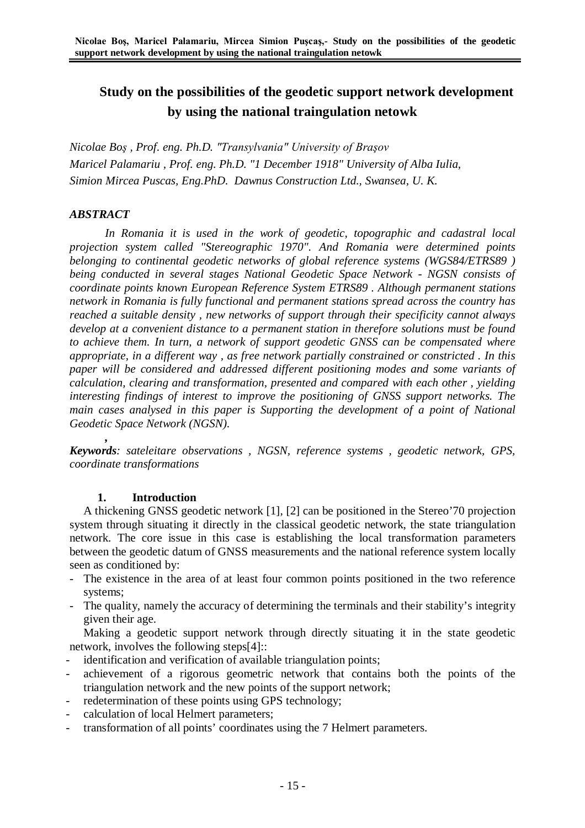# **Study on the possibilities of the geodetic support network development by using the national traingulation netowk**

*Nicolae Boş , Prof. eng. Ph.D. "Transylvania" University of Braşov Maricel Palamariu , Prof. eng. Ph.D. "1 December 1918" University of Alba Iulia, Simion Mircea Puscas, Eng.PhD. Dawnus Construction Ltd., Swansea, U. K.*

## *ABSTRACT*

*In Romania it is used in the work of geodetic, topographic and cadastral local projection system called "Stereographic 1970". And Romania were determined points belonging to continental geodetic networks of global reference systems (WGS84/ETRS89 ) being conducted in several stages National Geodetic Space Network - NGSN consists of coordinate points known European Reference System ETRS89 . Although permanent stations network in Romania is fully functional and permanent stations spread across the country has reached a suitable density , new networks of support through their specificity cannot always develop at a convenient distance to a permanent station in therefore solutions must be found to achieve them. In turn, a network of support geodetic GNSS can be compensated where appropriate, in a different way , as free network partially constrained or constricted . In this paper will be considered and addressed different positioning modes and some variants of calculation, clearing and transformation, presented and compared with each other , yielding interesting findings of interest to improve the positioning of GNSS support networks. The main cases analysed in this paper is Supporting the development of a point of National Geodetic Space Network (NGSN).*

*, Keywords: sateleitare observations , NGSN, reference systems , geodetic network, GPS, coordinate transformations*

## **1. Introduction**

A thickening GNSS geodetic network [1], [2] can be positioned in the Stereo'70 projection system through situating it directly in the classical geodetic network, the state triangulation network. The core issue in this case is establishing the local transformation parameters between the geodetic datum of GNSS measurements and the national reference system locally seen as conditioned by:

- The existence in the area of at least four common points positioned in the two reference systems;
- The quality, namely the accuracy of determining the terminals and their stability's integrity given their age.

Making a geodetic support network through directly situating it in the state geodetic network, involves the following steps[4]::

- identification and verification of available triangulation points;
- achievement of a rigorous geometric network that contains both the points of the triangulation network and the new points of the support network;
- redetermination of these points using GPS technology;
- calculation of local Helmert parameters;
- transformation of all points' coordinates using the 7 Helmert parameters.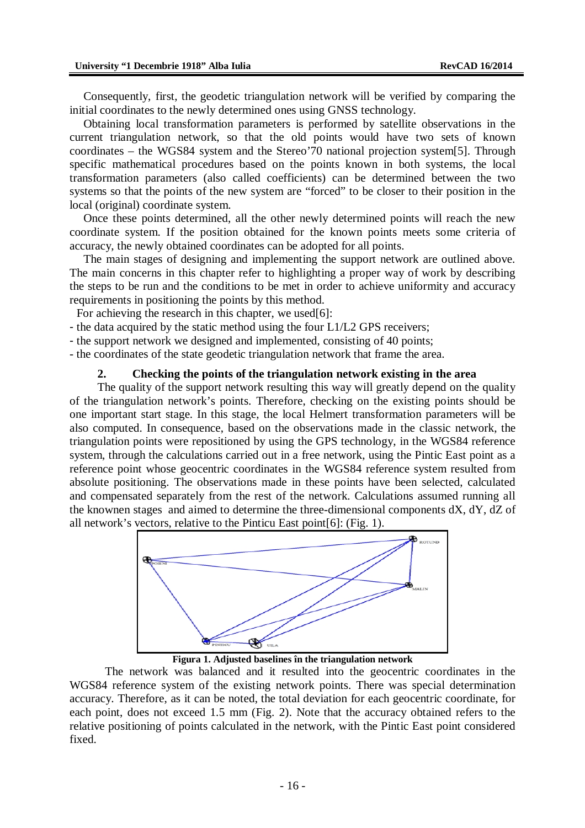Consequently, first, the geodetic triangulation network will be verified by comparing the initial coordinates to the newly determined ones using GNSS technology.

Obtaining local transformation parameters is performed by satellite observations in the current triangulation network, so that the old points would have two sets of known coordinates – the WGS84 system and the Stereo'70 national projection system[5]. Through specific mathematical procedures based on the points known in both systems, the local transformation parameters (also called coefficients) can be determined between the two systems so that the points of the new system are "forced" to be closer to their position in the local (original) coordinate system.

Once these points determined, all the other newly determined points will reach the new coordinate system. If the position obtained for the known points meets some criteria of accuracy, the newly obtained coordinates can be adopted for all points.

The main stages of designing and implementing the support network are outlined above. The main concerns in this chapter refer to highlighting a proper way of work by describing the steps to be run and the conditions to be met in order to achieve uniformity and accuracy requirements in positioning the points by this method.

For achieving the research in this chapter, we used[6]:

- the data acquired by the static method using the four L1/L2 GPS receivers;
- the support network we designed and implemented, consisting of 40 points;
- the coordinates of the state geodetic triangulation network that frame the area.

### **2. Checking the points of the triangulation network existing in the area**

The quality of the support network resulting this way will greatly depend on the quality of the triangulation network's points. Therefore, checking on the existing points should be one important start stage. In this stage, the local Helmert transformation parameters will be also computed. In consequence, based on the observations made in the classic network, the triangulation points were repositioned by using the GPS technology, in the WGS84 reference system, through the calculations carried out in a free network, using the Pintic East point as a reference point whose geocentric coordinates in the WGS84 reference system resulted from absolute positioning. The observations made in these points have been selected, calculated and compensated separately from the rest of the network. Calculations assumed running all the knownen stages and aimed to determine the three-dimensional components dX, dY, dZ of all network's vectors, relative to the Pinticu East point[6]: (Fig. 1).



**Figura 1. Adjusted baselines în the triangulation network**

The network was balanced and it resulted into the geocentric coordinates in the WGS84 reference system of the existing network points. There was special determination accuracy. Therefore, as it can be noted, the total deviation for each geocentric coordinate, for each point, does not exceed 1.5 mm (Fig. 2). Note that the accuracy obtained refers to the relative positioning of points calculated in the network, with the Pintic East point considered fixed.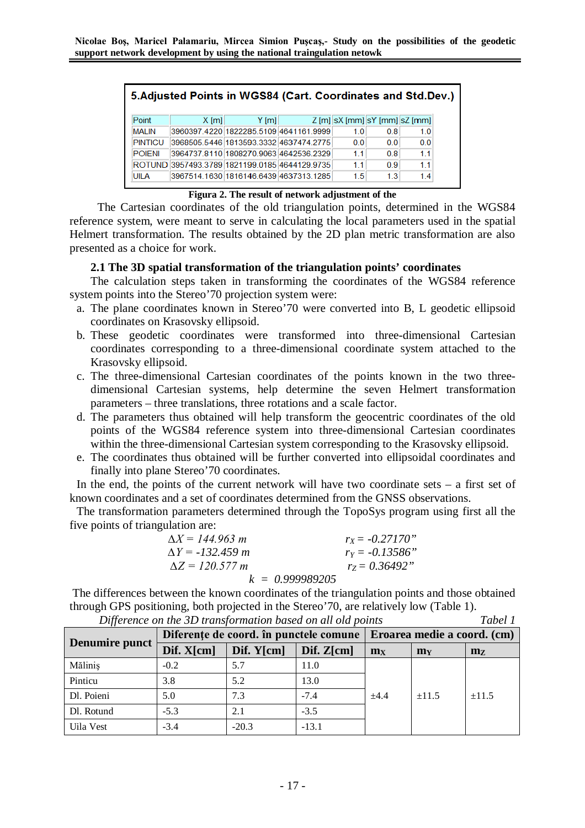| 5. Adjusted Points in WGS84 (Cart. Coordinates and Std. Dev.) |         |                                               |  |                                          |                |                |  |  |
|---------------------------------------------------------------|---------|-----------------------------------------------|--|------------------------------------------|----------------|----------------|--|--|
| Point                                                         | $X$ [m] | $Y$ [m]                                       |  | $Z$ [m] $ sX$ [mm] $ sY$ [mm] $ sZ$ [mm] |                |                |  |  |
| <b>MALIN</b>                                                  |         | 3960397.4220 1822285.5109 4641161.9999        |  | 10                                       | 08             | 10             |  |  |
| <b>PINTICU</b>                                                |         | 3968505.5446 1813593.3332 4637474.2775        |  | 0 <sub>0</sub>                           | 0 <sub>0</sub> | 0 <sub>0</sub> |  |  |
| <b>POIENI</b>                                                 |         | 3964737.8110 1808270.9063 4642536.2329        |  | 11                                       | 0.8            | 11             |  |  |
|                                                               |         | ROTUND 3957493.3789 1821199.0185 4644129.9735 |  | 11                                       | 09             | 11             |  |  |
| UILA                                                          |         | 3967514.1630 1816146.6439 4637313.1285        |  | 1.5                                      | 1.3            | 14             |  |  |

#### **Figura 2. The result of network adjustment of the**

The Cartesian coordinates of the old triangulation points, determined in the WGS84 reference system, were meant to serve in calculating the local parameters used in the spatial Helmert transformation. The results obtained by the 2D plan metric transformation are also presented as a choice for work.

## **2.1 The 3D spatial transformation of the triangulation points' coordinates**

The calculation steps taken in transforming the coordinates of the WGS84 reference system points into the Stereo'70 projection system were:

- a. The plane coordinates known in Stereo'70 were converted into B, L geodetic ellipsoid coordinates on Krasovsky ellipsoid.
- b. These geodetic coordinates were transformed into three-dimensional Cartesian coordinates corresponding to a three-dimensional coordinate system attached to the Krasovsky ellipsoid.
- c. The three-dimensional Cartesian coordinates of the points known in the two threedimensional Cartesian systems, help determine the seven Helmert transformation parameters – three translations, three rotations and a scale factor.
- d. The parameters thus obtained will help transform the geocentric coordinates of the old points of the WGS84 reference system into three-dimensional Cartesian coordinates within the three-dimensional Cartesian system corresponding to the Krasovsky ellipsoid.
- e. The coordinates thus obtained will be further converted into ellipsoidal coordinates and finally into plane Stereo'70 coordinates.

In the end, the points of the current network will have two coordinate sets  $-$  a first set of known coordinates and a set of coordinates determined from the GNSS observations.

The transformation parameters determined through the TopoSys program using first all the five points of triangulation are:

| $\Delta X = 144.963$ m  | $r_{\rm X} = -0.27170$ " |
|-------------------------|--------------------------|
| $\Delta Y = -132.459$ m | $r_Y = -0.13586"$        |
| $\Delta Z = 120.577 m$  | $r_Z = 0.36492$ "        |
| $k = 0.999989205$       |                          |

The differences between the known coordinates of the triangulation points and those obtained through GPS positioning, both projected in the Stereo'70, are relatively low (Table 1).

|                | Diferențe de coord. în punctele comune | Eroarea medie a coord. (cm) |             |       |                |                |
|----------------|----------------------------------------|-----------------------------|-------------|-------|----------------|----------------|
| Denumire punct | Dif. $X$ [cm]                          | Dif. $Y[cm]$                | Diff. Z[cm] | $m_X$ | m <sub>Y</sub> | m <sub>Z</sub> |
| Mălinis        | $-0.2$                                 | 5.7                         | 11.0        | ±4.4  | $\pm 11.5$     | $\pm 11.5$     |
| Pinticu        | 3.8                                    | 5.2                         | 13.0        |       |                |                |
| Dl. Poieni     | 5.0                                    | 7.3                         | $-7.4$      |       |                |                |
| Dl. Rotund     | $-5.3$                                 | 2.1                         | $-3.5$      |       |                |                |
| Uila Vest      | $-3.4$                                 | $-20.3$                     | $-13.1$     |       |                |                |

*Difference on the 3D transformation based on all old points Tabel 1*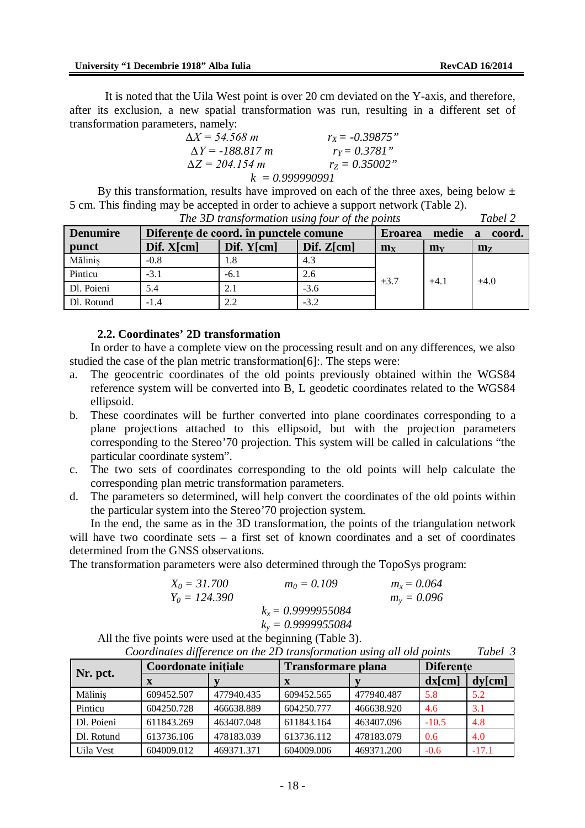It is noted that the Uila West point is over 20 cm deviated on the Y-axis, and therefore, after its exclusion, a new spatial transformation was run, resulting in a different set of transformation parameters, namely:

| $\Delta X = 54.568 \; m$   | $r_{\rm X}$ = -0.39875" |
|----------------------------|-------------------------|
| $\Delta Y = -188.817 \; m$ | $r_Y = 0.3781"$         |
| $\Delta Z = 204.154 \; m$  | $r_z = 0.35002$ "       |
| $k = 0.999990991$          |                         |

By this transformation, results have improved on each of the three axes, being below  $\pm$ 5 cm. This finding may be accepted in order to achieve a support network (Table 2). *The 3D transformation using four of the points Tabel 2*

| The SD transformation asing four of the points<br>100012 |             |                                        |                                      |                |                       |                |  |  |
|----------------------------------------------------------|-------------|----------------------------------------|--------------------------------------|----------------|-----------------------|----------------|--|--|
| <b>Denumire</b>                                          |             | Diferente de coord. în punctele comune | Eroarea                              | medie          | coord.<br>$\mathbf a$ |                |  |  |
| punct                                                    | Diff. X[cm] | Dif. $Y[cm]$                           | $\text{Dif. } \mathbb{Z}[\text{cm}]$ | m <sub>x</sub> | m <sub>V</sub>        | m <sub>z</sub> |  |  |
| Mălinis                                                  | $-0.8$      | 1.8                                    | 4.3                                  | $\pm 3.7$      | $+4.1$                | $+4.0$         |  |  |
| Pinticu                                                  | $-3.1$      | $-6.1$                                 | 2.6                                  |                |                       |                |  |  |
| Dl. Poieni                                               | 5.4         | 2.1                                    | $-3.6$                               |                |                       |                |  |  |
| Dl. Rotund                                               | $-1.4$      | 2.2                                    | $-3.2$                               |                |                       |                |  |  |

**2.2. Coordinates' 2D transformation**

In order to have a complete view on the processing result and on any differences, we also studied the case of the plan metric transformation[6]:. The steps were:

- a. The geocentric coordinates of the old points previously obtained within the WGS84 reference system will be converted into B, L geodetic coordinates related to the WGS84 ellipsoid.
- b. These coordinates will be further converted into plane coordinates corresponding to a plane projections attached to this ellipsoid, but with the projection parameters corresponding to the Stereo'70 projection. This system will be called in calculations "the particular coordinate system".
- c. The two sets of coordinates corresponding to the old points will help calculate the corresponding plan metric transformation parameters.
- d. The parameters so determined, will help convert the coordinates of the old points within the particular system into the Stereo'70 projection system.

In the end, the same as in the 3D transformation, the points of the triangulation network will have two coordinate sets – a first set of known coordinates and a set of coordinates determined from the GNSS observations.

The transformation parameters were also determined through the TopoSys program:

| $X_0 = 31,700$  | $m_0 = 0.109$        | $m_x = 0.064$ |
|-----------------|----------------------|---------------|
| $Y_0 = 124.390$ |                      | $m_v = 0.096$ |
|                 | $k_x = 0.9999955084$ |               |
|                 | $k_v = 0.9999955084$ |               |

All the five points were used at the beginning (Table 3). *Coordinates difference on the 2D transformation using all old points Tabel 3*

| Coordinates allevence on the 2D transformation using all old points<br>ravet s |                            |            |                           |            |                  |         |  |  |  |
|--------------------------------------------------------------------------------|----------------------------|------------|---------------------------|------------|------------------|---------|--|--|--|
| Nr. pct.                                                                       | <b>Coordonate initiale</b> |            | <b>Transformare plana</b> |            | <b>Diferente</b> |         |  |  |  |
|                                                                                |                            |            | X                         |            | $dx$ [cm]        | dy[cm]  |  |  |  |
| Mălinis                                                                        | 609452.507                 | 477940.435 | 609452.565                | 477940.487 | 5.8              | 5.2     |  |  |  |
| Pinticu                                                                        | 604250.728                 | 466638.889 | 604250.777                | 466638.920 | 4.6              | 3.1     |  |  |  |
| Dl. Poieni                                                                     | 611843.269                 | 463407.048 | 611843.164                | 463407.096 | $-10.5$          | 4.8     |  |  |  |
| Dl. Rotund                                                                     | 613736.106                 | 478183.039 | 613736.112                | 478183.079 | 0.6              | 4.0     |  |  |  |
| Uila Vest                                                                      | 604009.012                 | 469371.371 | 604009.006                | 469371.200 | $-0.6$           | $-17.1$ |  |  |  |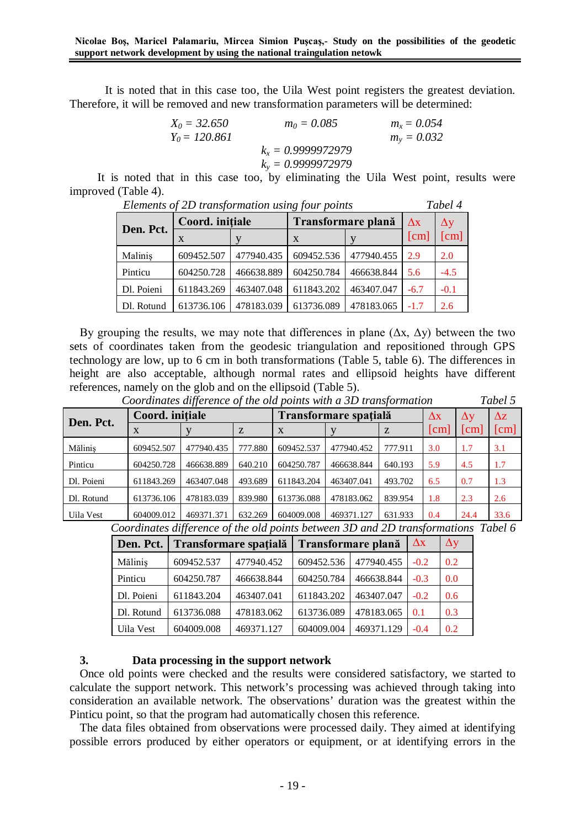It is noted that in this case too, the Uila West point registers the greatest deviation. Therefore, it will be removed and new transformation parameters will be determined:

| $X_0 = 32.650$  | $m_0 = 0.085$        | $m_r = 0.054$ |
|-----------------|----------------------|---------------|
| $Y_0 = 120.861$ |                      | $m_v = 0.032$ |
|                 | $k_r = 0.9999972979$ |               |
|                 | $k_v = 0.9999972979$ |               |

It is noted that in this case too, by eliminating the Uila West point, results were improved (Table 4). *Elements of 2D transformation using four points Tabel 4*

| Elements of ZD transformation using four points |                 | 1 avet 4   |                    |            |            |        |
|-------------------------------------------------|-----------------|------------|--------------------|------------|------------|--------|
| Den. Pct.                                       | Coord. initiale |            | Transformare plană | $\Delta x$ | $\Delta y$ |        |
|                                                 | X               |            | $\mathbf x$        |            | [cm]       | [cm]   |
| Malinis                                         | 609452.507      | 477940.435 | 609452.536         | 477940.455 | 2.9        | 2.0    |
| Pinticu                                         | 604250.728      | 466638.889 | 604250.784         | 466638.844 | 5.6        | $-4.5$ |
| Dl. Poieni                                      | 611843.269      | 463407.048 | 611843.202         | 463407.047 | $-6.7$     | $-0.1$ |
| Dl. Rotund                                      | 613736.106      | 478183.039 | 613736.089         | 478183.065 | $-1.7$     | 2.6    |

By grouping the results, we may note that differences in plane  $(\Delta x, \Delta y)$  between the two sets of coordinates taken from the geodesic triangulation and repositioned through GPS technology are low, up to 6 cm in both transformations (Table 5, table 6). The differences in height are also acceptable, although normal rates and ellipsoid heights have different references, namely on the glob and on the ellipsoid (Table 5).<br>Coordinates difference of the ald points with a 3D

| Coordinates difference of the old points with a 3D transformation |                 |            |         |                       |            |            |            |                    | Tabel 5       |
|-------------------------------------------------------------------|-----------------|------------|---------|-----------------------|------------|------------|------------|--------------------|---------------|
| Den. Pct.                                                         | Coord. initiale |            |         | Transformare spațială | $\Delta x$ | $\Delta y$ | $\Delta z$ |                    |               |
|                                                                   | X               |            | Z       | z<br>$\mathbf{X}$     |            |            | [cm]       | $\sqrt{\text{cm}}$ | $\mathsf{cm}$ |
| Mălinis                                                           | 609452.507      | 477940.435 | 777.880 | 609452.537            | 477940.452 | 777.911    | 3.0        | 1.7                | 3.1           |
| Pinticu                                                           | 604250.728      | 466638.889 | 640.210 | 604250.787            | 466638.844 | 640.193    | 5.9        | 4.5                | 1.7           |
| Dl. Poieni                                                        | 611843.269      | 463407.048 | 493.689 | 611843.204            | 463407.041 | 493.702    | 6.5        | 0.7                | 1.3           |
| Dl. Rotund                                                        | 613736.106      | 478183.039 | 839.980 | 613736.088            | 478183.062 | 839.954    | 1.8        | 2.3                | 2.6           |
| Uila Vest                                                         | 604009.012      | 469371.371 | 632.269 | 604009.008            | 469371.127 | 631.933    | 0.4        | 24.4               | 33.6          |

*Coordinates difference of the old points between 3D and 2D transformations Tabel 6*

| Den. Pct.  |            | Transformare spațială | <b>Transformare plană</b> | $\Delta x$ | $\Delta y$ |     |
|------------|------------|-----------------------|---------------------------|------------|------------|-----|
| Măliniș    | 609452.537 | 477940.452            | 609452.536                | 477940.455 | $-0.2$     | 0.2 |
| Pinticu    | 604250.787 | 466638.844            | 604250.784                | 466638.844 | $-0.3$     | 0.0 |
| Dl. Poieni | 611843.204 | 463407.041            | 611843.202                | 463407.047 | $-0.2$     | 0.6 |
| Dl. Rotund | 613736.088 | 478183.062            | 613736.089                | 478183.065 | 0.1        | 0.3 |
| Uila Vest  | 604009.008 | 469371.127            | 604009.004                | 469371.129 | $-0.4$     | 0.2 |

## **3. Data processing in the support network**

Once old points were checked and the results were considered satisfactory, we started to calculate the support network. This network's processing was achieved through taking into consideration an available network. The observations' duration was the greatest within the Pinticu point, so that the program had automatically chosen this reference.

The data files obtained from observations were processed daily. They aimed at identifying possible errors produced by either operators or equipment, or at identifying errors in the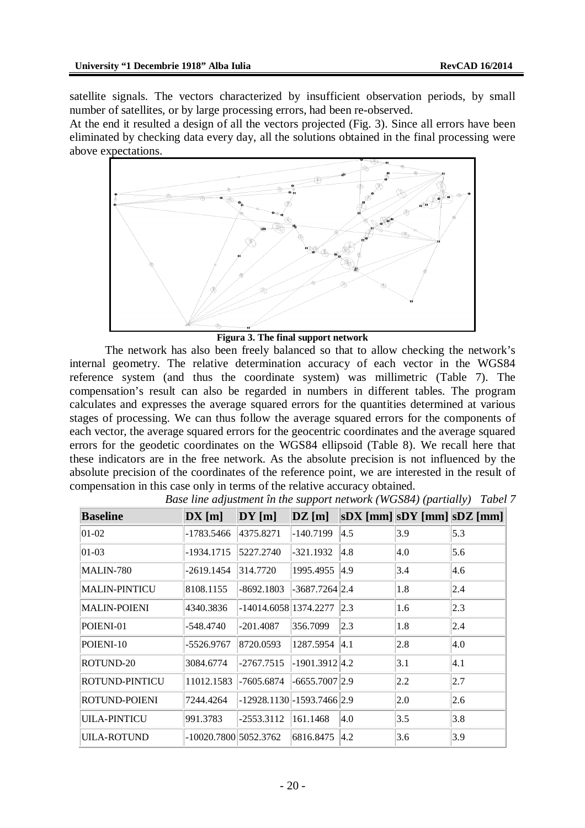satellite signals. The vectors characterized by insufficient observation periods, by small number of satellites, or by large processing errors, had been re-observed.

At the end it resulted a design of all the vectors projected (Fig. 3). Since all errors have been eliminated by checking data every day, all the solutions obtained in the final processing were above expectations.



#### **Figura 3. The final support network**

The network has also been freely balanced so that to allow checking the network's internal geometry. The relative determination accuracy of each vector in the WGS84 reference system (and thus the coordinate system) was millimetric (Table 7). The compensation's result can also be regarded in numbers in different tables. The program calculates and expresses the average squared errors for the quantities determined at various stages of processing. We can thus follow the average squared errors for the components of each vector, the average squared errors for the geocentric coordinates and the average squared errors for the geodetic coordinates on the WGS84 ellipsoid (Table 8). We recall here that these indicators are in the free network. As the absolute precision is not influenced by the absolute precision of the coordinates of the reference point, we are interested in the result of compensation in this case only in terms of the relative accuracy obtained.

| <b>Baseline</b>       | DX[m]                   | $DY$ [m]                        | $\mathbf{DZ}$ [m] | $ SDX $ [mm] $ SDY $ [mm] $ SDZ $ [mm] |     |     |
|-----------------------|-------------------------|---------------------------------|-------------------|----------------------------------------|-----|-----|
| $ 01-02 $             | -1783.5466              | 4375.8271                       | $-140.7199$       | 4.5                                    | 3.9 | 5.3 |
| $ 01-03 $             | -1934.1715              | 5227.2740                       | $-321.1932$       | 4.8                                    | 4.0 | 5.6 |
| MALIN-780             | -2619.1454              | 314.7720                        | 1995.4955         | 4.9                                    | 3.4 | 4.6 |
| MALIN-PINTICU         | 8108.1155               | $-8692.1803$                    | $-3687.7264$ 2.4  |                                        | 1.8 | 2.4 |
| <b>MALIN-POIENI</b>   | 4340.3836               | -14014.6058 1374.2277           |                   | 2.3                                    | 1.6 | 2.3 |
| POIENI-01             | -548.4740               | $-201.4087$                     | 356.7099          | $ 2.3\rangle$                          | 1.8 | 2.4 |
| POIENI-10             | -5526.9767              | 8720.0593                       | 1287.5954         | $ 4.1\rangle$                          | 2.8 | 4.0 |
| ROTUND-20             | 3084.6774               | $-2767.7515$                    | $-1901.3912 4.2$  |                                        | 3.1 | 4.1 |
| <b>ROTUND-PINTICU</b> | 11012.1583              | -7605.6874                      | $-6655.7007$  2.9 |                                        | 2.2 | 2.7 |
| <b>ROTUND-POIENI</b>  | 7244.4264               | $-12928.1130 - 1593.7466$ (2.9) |                   |                                        | 2.0 | 2.6 |
| <b>UILA-PINTICU</b>   | 991.3783                | $-2553.3112$                    | 161.1468          | 4.0                                    | 3.5 | 3.8 |
| <b>UILA-ROTUND</b>    | $-10020.7800$ 5052.3762 |                                 | 6816.8475         | $ 4.2\rangle$                          | 3.6 | 3.9 |

*Base line adjustment în the support network (WGS84) (partially) Tabel 7*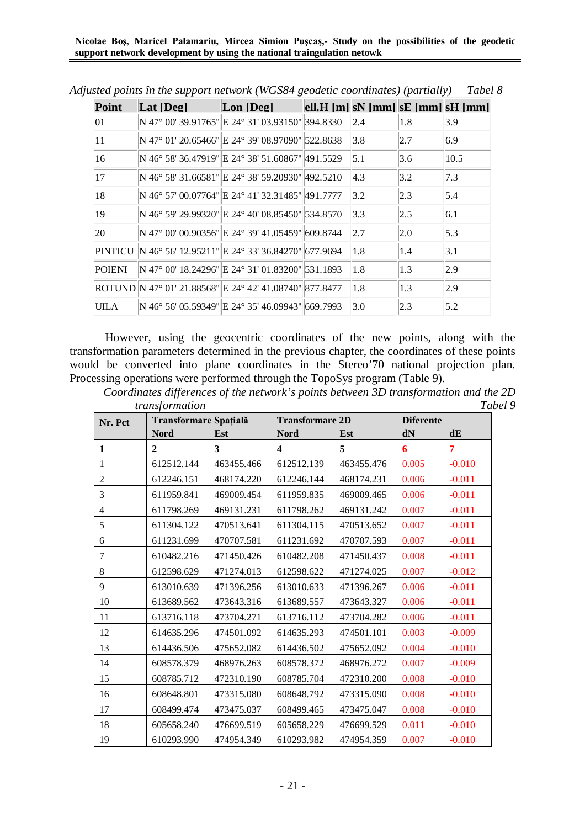**Nicolae Boş, Maricel Palamariu, Mircea Simion Puşcaş,- Study on the possibilities of the geodetic support network development by using the national traingulation netowk**

| Point        | Lat [Deg]                                               | Lon [Deg] |               |     | ell.H $[m]$ sN $[mm]$ sE $[mm]$ sH $[mm]$ |
|--------------|---------------------------------------------------------|-----------|---------------|-----|-------------------------------------------|
| $ 01\rangle$ | N 47° 00' 39.91765" E 24° 31' 03.93150" 394.8330        |           | 2.4           | 1.8 | 3.9                                       |
| 11           | N 47° 01′ 20.65466″ E 24° 39′ 08.97090″ 522.8638        |           | 3.8           | 2.7 | 6.9                                       |
| 16           | N 46° 58′ 36.47919″ E 24° 38′ 51.60867″ 491.5529        |           | 5.1           | 3.6 | 10.5                                      |
| 17           | N 46° 58′ 31.66581″ E 24° 38′ 59.20930″  492.5210       |           | $ 4,3\rangle$ | 3.2 | 7.3                                       |
| 18           | N 46° 57′ 00.07764″ E 24° 41′ 32.31485″  491.7777       |           | 3.2           | 2.3 | 5.4                                       |
| 19           | N 46° 59′ 29.99320″ E 24° 40′ 08.85450″ 534.8570        |           | 3.3           | 2.5 | 6.1                                       |
| 20           | N 47° 00' 00.90356" E 24° 39' 41.05459" 509.8744        |           | 2.7           | 2.0 | 5.3                                       |
| PINTICU      | N 46° 56' 12.95211" E 24° 33' 36.84270" 677.9694        |           | 1.8           | 1.4 | $\vert 3.1 \vert$                         |
| POIENI       | N 47° 00' 18.24296" E 24° 31' 01.83200" 531.1893        |           | 1.8           | 1.3 | 2.9                                       |
|              | ROTUND N 47° 01' 21.88568" E 24° 42' 41.08740" 877.8477 |           | 1.8           | 1.3 | 2.9                                       |
| UILA         | N 46° 56′ 05.59349″ E 24° 35′ 46.09943″ 569.7993        |           | 3.0           | 2.3 | 5.2                                       |

*Adjusted points în the support network (WGS84 geodetic coordinates) (partially) Tabel 8*

However, using the geocentric coordinates of the new points, along with the transformation parameters determined in the previous chapter, the coordinates of these points would be converted into plane coordinates in the Stereo'70 national projection plan. Processing operations were performed through the TopoSys program (Table 9).

*Coordinates differences of the network's points between 3D transformation and the 2D transformation Tabel 9*

| transformation<br>$\mu$ |                              |            |                         |            |                  |          |  |
|-------------------------|------------------------------|------------|-------------------------|------------|------------------|----------|--|
| Nr. Pct                 | <b>Transformare Spațială</b> |            | <b>Transformare 2D</b>  |            | <b>Diferente</b> |          |  |
|                         | <b>Nord</b>                  | Est        | <b>Nord</b>             | Est        | dN               | dE       |  |
| 1                       | $\mathbf{2}$                 | 3          | $\overline{\mathbf{4}}$ | 5          | 6                | 7        |  |
| 1                       | 612512.144                   | 463455.466 | 612512.139              | 463455.476 | 0.005            | $-0.010$ |  |
| $\overline{2}$          | 612246.151                   | 468174.220 | 612246.144              | 468174.231 | 0.006            | $-0.011$ |  |
| 3                       | 611959.841                   | 469009.454 | 611959.835              | 469009.465 | 0.006            | $-0.011$ |  |
| 4                       | 611798.269                   | 469131.231 | 611798.262              | 469131.242 | 0.007            | $-0.011$ |  |
| 5                       | 611304.122                   | 470513.641 | 611304.115              | 470513.652 | 0.007            | $-0.011$ |  |
| 6                       | 611231.699                   | 470707.581 | 611231.692              | 470707.593 | 0.007            | $-0.011$ |  |
| 7                       | 610482.216                   | 471450.426 | 610482.208              | 471450.437 | 0.008            | $-0.011$ |  |
| 8                       | 612598.629                   | 471274.013 | 612598.622              | 471274.025 | 0.007            | $-0.012$ |  |
| 9                       | 613010.639                   | 471396.256 | 613010.633              | 471396.267 | 0.006            | $-0.011$ |  |
| 10                      | 613689.562                   | 473643.316 | 613689.557              | 473643.327 | 0.006            | $-0.011$ |  |
| 11                      | 613716.118                   | 473704.271 | 613716.112              | 473704.282 | 0.006            | $-0.011$ |  |
| 12                      | 614635.296                   | 474501.092 | 614635.293              | 474501.101 | 0.003            | $-0.009$ |  |
| 13                      | 614436.506                   | 475652.082 | 614436.502              | 475652.092 | 0.004            | $-0.010$ |  |
| 14                      | 608578.379                   | 468976.263 | 608578.372              | 468976.272 | 0.007            | $-0.009$ |  |
| 15                      | 608785.712                   | 472310.190 | 608785.704              | 472310.200 | 0.008            | $-0.010$ |  |
| 16                      | 608648.801                   | 473315.080 | 608648.792              | 473315.090 | 0.008            | $-0.010$ |  |
| 17                      | 608499.474                   | 473475.037 | 608499.465              | 473475.047 | 0.008            | $-0.010$ |  |
| 18                      | 605658.240                   | 476699.519 | 605658.229              | 476699.529 | 0.011            | $-0.010$ |  |
| 19                      | 610293.990                   | 474954.349 | 610293.982              | 474954.359 | 0.007            | $-0.010$ |  |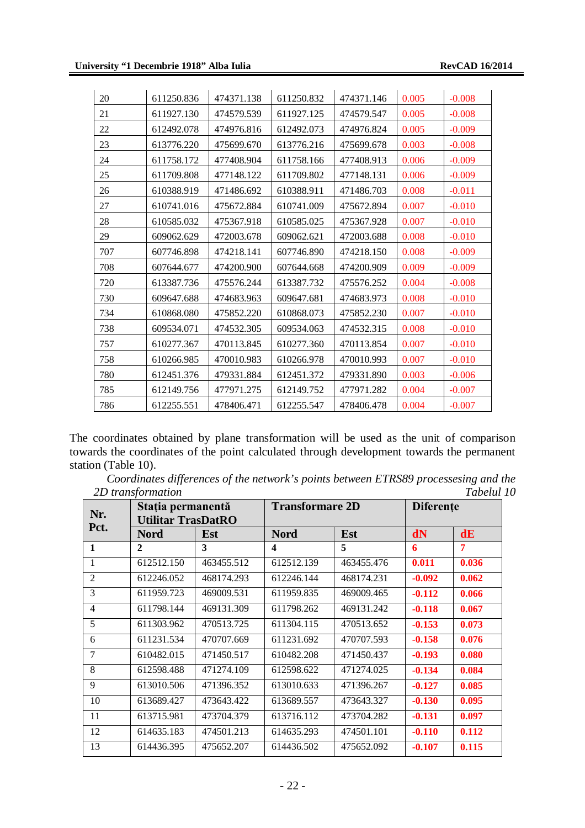| 20  | 611250.836 | 474371.138 | 611250.832 | 474371.146 | 0.005 | $-0.008$ |
|-----|------------|------------|------------|------------|-------|----------|
| 21  | 611927.130 | 474579.539 | 611927.125 | 474579.547 | 0.005 | $-0.008$ |
| 22  | 612492.078 | 474976.816 | 612492.073 | 474976.824 | 0.005 | $-0.009$ |
| 23  | 613776.220 | 475699.670 | 613776.216 | 475699.678 | 0.003 | $-0.008$ |
| 24  | 611758.172 | 477408.904 | 611758.166 | 477408.913 | 0.006 | $-0.009$ |
| 25  | 611709.808 | 477148.122 | 611709.802 | 477148.131 | 0.006 | $-0.009$ |
| 26  | 610388.919 | 471486.692 | 610388.911 | 471486.703 | 0.008 | $-0.011$ |
| 27  | 610741.016 | 475672.884 | 610741.009 | 475672.894 | 0.007 | $-0.010$ |
| 28  | 610585.032 | 475367.918 | 610585.025 | 475367.928 | 0.007 | $-0.010$ |
| 29  | 609062.629 | 472003.678 | 609062.621 | 472003.688 | 0.008 | $-0.010$ |
| 707 | 607746.898 | 474218.141 | 607746.890 | 474218.150 | 0.008 | $-0.009$ |
| 708 | 607644.677 | 474200.900 | 607644.668 | 474200.909 | 0.009 | $-0.009$ |
| 720 | 613387.736 | 475576.244 | 613387.732 | 475576.252 | 0.004 | $-0.008$ |
| 730 | 609647.688 | 474683.963 | 609647.681 | 474683.973 | 0.008 | $-0.010$ |
| 734 | 610868.080 | 475852.220 | 610868.073 | 475852.230 | 0.007 | $-0.010$ |
| 738 | 609534.071 | 474532.305 | 609534.063 | 474532.315 | 0.008 | $-0.010$ |
| 757 | 610277.367 | 470113.845 | 610277.360 | 470113.854 | 0.007 | $-0.010$ |
| 758 | 610266.985 | 470010.983 | 610266.978 | 470010.993 | 0.007 | $-0.010$ |
| 780 | 612451.376 | 479331.884 | 612451.372 | 479331.890 | 0.003 | $-0.006$ |
| 785 | 612149.756 | 477971.275 | 612149.752 | 477971.282 | 0.004 | $-0.007$ |
| 786 | 612255.551 | 478406.471 | 612255.547 | 478406.478 | 0.004 | $-0.007$ |

The coordinates obtained by plane transformation will be used as the unit of comparison towards the coordinates of the point calculated through development towards the permanent station (Table 10).

| Coordinates differences of the network's points between ETRS89 processesing and the |  |  |            |
|-------------------------------------------------------------------------------------|--|--|------------|
| 2D transformation                                                                   |  |  | Tabelul 10 |

| Nr.<br>Pct.    | Stația permanentă<br><b>Utilitar TrasDatRO</b> |            | <b>Transformare 2D</b> |            | <b>Diferente</b> |       |
|----------------|------------------------------------------------|------------|------------------------|------------|------------------|-------|
|                | <b>Nord</b>                                    | Est        | <b>Nord</b>            | Est        | dN               | dE    |
| 1              | $\mathbf{2}$                                   | 3          | 4                      | 5          | 6                | 7     |
| 1              | 612512.150                                     | 463455.512 | 612512.139             | 463455.476 | 0.011            | 0.036 |
| $\mathfrak{D}$ | 612246.052                                     | 468174.293 | 612246.144             | 468174.231 | $-0.092$         | 0.062 |
| 3              | 611959.723                                     | 469009.531 | 611959.835             | 469009.465 | $-0.112$         | 0.066 |
| 4              | 611798.144                                     | 469131.309 | 611798.262             | 469131.242 | $-0.118$         | 0.067 |
| 5              | 611303.962                                     | 470513.725 | 611304.115             | 470513.652 | $-0.153$         | 0.073 |
| 6              | 611231.534                                     | 470707.669 | 611231.692             | 470707.593 | $-0.158$         | 0.076 |
| 7              | 610482.015                                     | 471450.517 | 610482.208             | 471450.437 | $-0.193$         | 0.080 |
| 8              | 612598.488                                     | 471274.109 | 612598.622             | 471274.025 | $-0.134$         | 0.084 |
| 9              | 613010.506                                     | 471396.352 | 613010.633             | 471396.267 | $-0.127$         | 0.085 |
| 10             | 613689.427                                     | 473643.422 | 613689.557             | 473643.327 | $-0.130$         | 0.095 |
| 11             | 613715.981                                     | 473704.379 | 613716.112             | 473704.282 | $-0.131$         | 0.097 |
| 12             | 614635.183                                     | 474501.213 | 614635.293             | 474501.101 | $-0.110$         | 0.112 |
| 13             | 614436.395                                     | 475652.207 | 614436.502             | 475652.092 | $-0.107$         | 0.115 |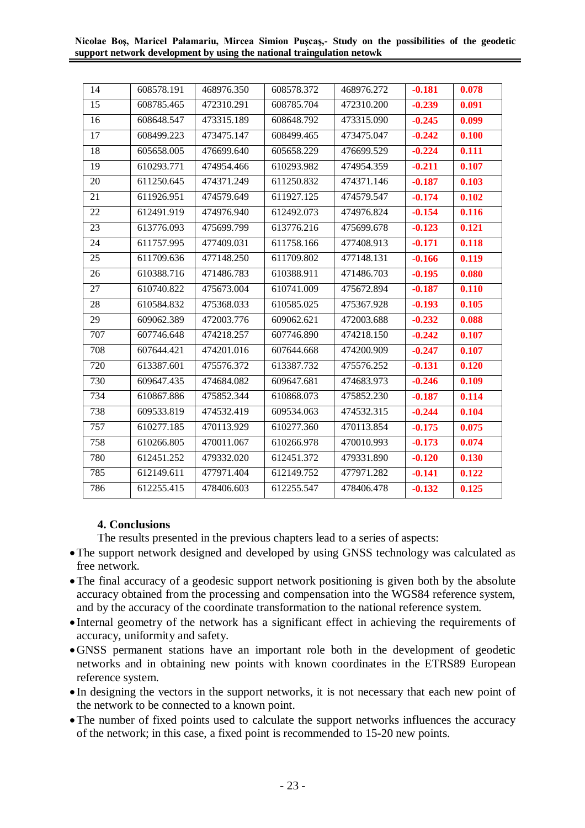#### **Nicolae Boş, Maricel Palamariu, Mircea Simion Puşcaş,- Study on the possibilities of the geodetic support network development by using the national traingulation netowk**

| 14  | 608578.191 | 468976.350 | 608578.372 | 468976.272 | $-0.181$ | 0.078 |
|-----|------------|------------|------------|------------|----------|-------|
| 15  | 608785.465 | 472310.291 | 608785.704 | 472310.200 | $-0.239$ | 0.091 |
| 16  | 608648.547 | 473315.189 | 608648.792 | 473315.090 | $-0.245$ | 0.099 |
| 17  | 608499.223 | 473475.147 | 608499.465 | 473475.047 | $-0.242$ | 0.100 |
| 18  | 605658.005 | 476699.640 | 605658.229 | 476699.529 | $-0.224$ | 0.111 |
| 19  | 610293.771 | 474954.466 | 610293.982 | 474954.359 | $-0.211$ | 0.107 |
| 20  | 611250.645 | 474371.249 | 611250.832 | 474371.146 | $-0.187$ | 0.103 |
| 21  | 611926.951 | 474579.649 | 611927.125 | 474579.547 | $-0.174$ | 0.102 |
| 22  | 612491.919 | 474976.940 | 612492.073 | 474976.824 | $-0.154$ | 0.116 |
| 23  | 613776.093 | 475699.799 | 613776.216 | 475699.678 | $-0.123$ | 0.121 |
| 24  | 611757.995 | 477409.031 | 611758.166 | 477408.913 | $-0.171$ | 0.118 |
| 25  | 611709.636 | 477148.250 | 611709.802 | 477148.131 | $-0.166$ | 0.119 |
| 26  | 610388.716 | 471486.783 | 610388.911 | 471486.703 | $-0.195$ | 0.080 |
| 27  | 610740.822 | 475673.004 | 610741.009 | 475672.894 | $-0.187$ | 0.110 |
| 28  | 610584.832 | 475368.033 | 610585.025 | 475367.928 | $-0.193$ | 0.105 |
| 29  | 609062.389 | 472003.776 | 609062.621 | 472003.688 | $-0.232$ | 0.088 |
| 707 | 607746.648 | 474218.257 | 607746.890 | 474218.150 | $-0.242$ | 0.107 |
| 708 | 607644.421 | 474201.016 | 607644.668 | 474200.909 | $-0.247$ | 0.107 |
| 720 | 613387.601 | 475576.372 | 613387.732 | 475576.252 | $-0.131$ | 0.120 |
| 730 | 609647.435 | 474684.082 | 609647.681 | 474683.973 | $-0.246$ | 0.109 |
| 734 | 610867.886 | 475852.344 | 610868.073 | 475852.230 | $-0.187$ | 0.114 |
| 738 | 609533.819 | 474532.419 | 609534.063 | 474532.315 | $-0.244$ | 0.104 |
| 757 | 610277.185 | 470113.929 | 610277.360 | 470113.854 | $-0.175$ | 0.075 |
| 758 | 610266.805 | 470011.067 | 610266.978 | 470010.993 | $-0.173$ | 0.074 |
| 780 | 612451.252 | 479332.020 | 612451.372 | 479331.890 | $-0.120$ | 0.130 |
| 785 | 612149.611 | 477971.404 | 612149.752 | 477971.282 | $-0.141$ | 0.122 |
| 786 | 612255.415 | 478406.603 | 612255.547 | 478406.478 | $-0.132$ | 0.125 |
|     |            |            |            |            |          |       |

# **4. Conclusions**

The results presented in the previous chapters lead to a series of aspects:

- The support network designed and developed by using GNSS technology was calculated as free network.
- The final accuracy of a geodesic support network positioning is given both by the absolute accuracy obtained from the processing and compensation into the WGS84 reference system, and by the accuracy of the coordinate transformation to the national reference system.
- Internal geometry of the network has a significant effect in achieving the requirements of accuracy, uniformity and safety.
- GNSS permanent stations have an important role both in the development of geodetic networks and in obtaining new points with known coordinates in the ETRS89 European reference system.
- In designing the vectors in the support networks, it is not necessary that each new point of the network to be connected to a known point.
- The number of fixed points used to calculate the support networks influences the accuracy of the network; in this case, a fixed point is recommended to 15-20 new points.